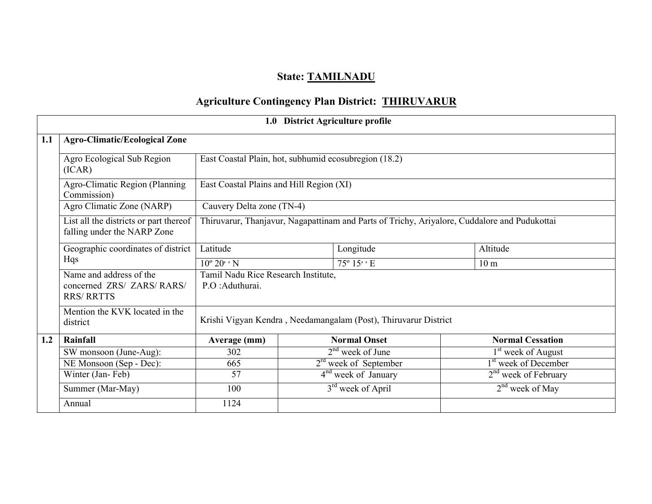# State: TAMILNADU

# Agriculture Contingency Plan District: THIRUVARUR

|     | 1.0 District Agriculture profile                                           |                                                         |  |                                                                                              |  |                                  |  |  |  |  |  |
|-----|----------------------------------------------------------------------------|---------------------------------------------------------|--|----------------------------------------------------------------------------------------------|--|----------------------------------|--|--|--|--|--|
| 1.1 | <b>Agro-Climatic/Ecological Zone</b>                                       |                                                         |  |                                                                                              |  |                                  |  |  |  |  |  |
|     | Agro Ecological Sub Region<br>(ICAR)                                       | East Coastal Plain, hot, subhumid ecosubregion (18.2)   |  |                                                                                              |  |                                  |  |  |  |  |  |
|     | Agro-Climatic Region (Planning<br>Commission)                              | East Coastal Plains and Hill Region (XI)                |  |                                                                                              |  |                                  |  |  |  |  |  |
|     | Agro Climatic Zone (NARP)                                                  | Cauvery Delta zone (TN-4)                               |  |                                                                                              |  |                                  |  |  |  |  |  |
|     | List all the districts or part thereof<br>falling under the NARP Zone      |                                                         |  | Thiruvarur, Thanjavur, Nagapattinam and Parts of Trichy, Ariyalore, Cuddalore and Pudukottai |  |                                  |  |  |  |  |  |
|     | Geographic coordinates of district                                         | Latitude                                                |  | Altitude                                                                                     |  |                                  |  |  |  |  |  |
|     | Hqs                                                                        | $10^{\circ} 20'$ ' N                                    |  | 10 <sub>m</sub>                                                                              |  |                                  |  |  |  |  |  |
|     | Name and address of the<br>concerned ZRS/ ZARS/ RARS/<br><b>RRS/ RRTTS</b> | Tamil Nadu Rice Research Institute,<br>P.O : Aduthurai. |  |                                                                                              |  |                                  |  |  |  |  |  |
|     | Mention the KVK located in the<br>district                                 |                                                         |  | Krishi Vigyan Kendra, Needamangalam (Post), Thiruvarur District                              |  |                                  |  |  |  |  |  |
| 1.2 | Rainfall                                                                   | Average (mm)                                            |  | <b>Normal Onset</b>                                                                          |  | <b>Normal Cessation</b>          |  |  |  |  |  |
|     | SW monsoon (June-Aug):                                                     | 302                                                     |  | $2nd$ week of June                                                                           |  | 1 <sup>st</sup> week of August   |  |  |  |  |  |
|     | NE Monsoon (Sep - Dec):                                                    | 665                                                     |  | $2rd$ week of September                                                                      |  | 1 <sup>st</sup> week of December |  |  |  |  |  |
|     | Winter (Jan-Feb)                                                           | 57                                                      |  | $4nd$ week of January                                                                        |  | $2nd$ week of February           |  |  |  |  |  |
|     | Summer (Mar-May)                                                           | 100                                                     |  | 3 <sup>rd</sup> week of April                                                                |  | $2nd$ week of May                |  |  |  |  |  |
|     | Annual                                                                     | 1124                                                    |  |                                                                                              |  |                                  |  |  |  |  |  |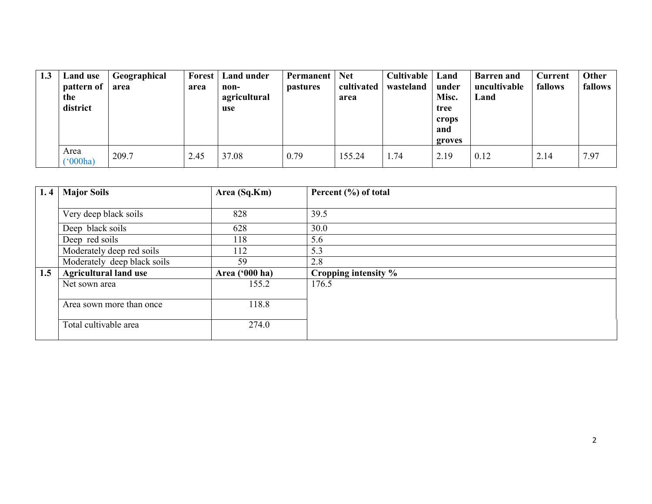| 1.3 | Land use<br>pattern of<br>the<br>district | Geographical<br>area | Forest<br>area | <b>Land under</b><br>non-<br>agricultural<br>use | Permanent<br><i>pastures</i> | <b>Net</b><br>cultivated<br>area | <b>Cultivable</b>   Land<br>wasteland | under<br>Misc.<br>tree<br>crops<br>and<br>groves | <b>Barren</b> and<br>uncultivable<br>Land | <b>Current</b><br>fallows | Other<br>fallows |
|-----|-------------------------------------------|----------------------|----------------|--------------------------------------------------|------------------------------|----------------------------------|---------------------------------------|--------------------------------------------------|-------------------------------------------|---------------------------|------------------|
|     | Area<br>$^{\prime}$ (000ha)               | 209.7                | 2.45           | 37.08                                            | 0.79                         | 155.24                           | 1.74                                  | 2.19                                             | 0.12                                      | 2.14                      | 7.97             |

| 1.4 | <b>Major Soils</b>           | Area (Sq.Km)   | Percent (%) of total |
|-----|------------------------------|----------------|----------------------|
|     |                              |                |                      |
|     | Very deep black soils        | 828            | 39.5                 |
|     | Deep black soils             | 628            | 30.0                 |
|     | Deep red soils               | 118            | 5.6                  |
|     | Moderately deep red soils    | 112            | 5.3                  |
|     | Moderately deep black soils  | 59             | 2.8                  |
| 1.5 | <b>Agricultural land use</b> | Area ('000 ha) | Cropping intensity % |
|     | Net sown area                | 155.2          | 176.5                |
|     |                              |                |                      |
|     | Area sown more than once     | 118.8          |                      |
|     |                              |                |                      |
|     | Total cultivable area        | 274.0          |                      |
|     |                              |                |                      |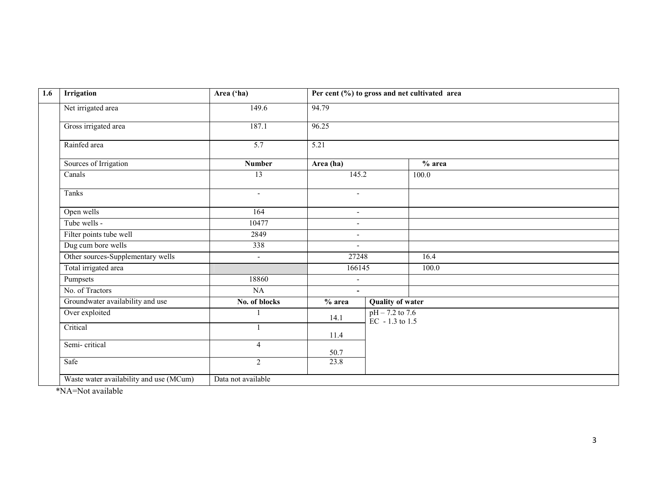| 1.6 | <b>Irrigation</b>                       | Area ('ha)               |                          |                                          | Per cent (%) to gross and net cultivated area |  |
|-----|-----------------------------------------|--------------------------|--------------------------|------------------------------------------|-----------------------------------------------|--|
|     | Net irrigated area                      | 149.6                    | 94.79                    |                                          |                                               |  |
|     | Gross irrigated area                    | 187.1                    | 96.25                    |                                          |                                               |  |
|     | Rainfed area                            | $\overline{5.7}$         | 5.21                     |                                          |                                               |  |
|     | Sources of Irrigation                   | <b>Number</b>            | Area (ha)                |                                          | $%$ area                                      |  |
|     | Canals                                  | $\overline{13}$          | 145.2                    |                                          | 100.0                                         |  |
|     | Tanks                                   | $\overline{\phantom{a}}$ | $\overline{\phantom{a}}$ |                                          |                                               |  |
|     | Open wells                              | 164                      | $\overline{\phantom{a}}$ |                                          |                                               |  |
|     | Tube wells -                            | 10477                    | $\overline{\phantom{a}}$ |                                          |                                               |  |
|     | Filter points tube well                 | 2849                     | $\overline{\phantom{a}}$ |                                          |                                               |  |
|     | Dug cum bore wells                      | 338                      | $\blacksquare$           |                                          |                                               |  |
|     | Other sources-Supplementary wells       | $\blacksquare$           | 27248                    |                                          | 16.4                                          |  |
|     | Total irrigated area                    |                          | 166145                   |                                          | 100.0                                         |  |
|     | Pumpsets                                | 18860                    | $\blacksquare$           |                                          |                                               |  |
|     | No. of Tractors                         | NA                       | $\sim$                   |                                          |                                               |  |
|     | Groundwater availability and use        | No. of blocks            | $%$ area                 | <b>Quality of water</b>                  |                                               |  |
|     | Over exploited                          |                          | 14.1                     | pH – 7.2 to 7.6<br>$\rm EC - 1.3$ to 1.5 |                                               |  |
|     | Critical                                |                          | 11.4                     |                                          |                                               |  |
|     | Semi-critical                           | $\overline{4}$           | 50.7                     |                                          |                                               |  |
|     | Safe                                    | $\overline{2}$           | 23.8                     |                                          |                                               |  |
|     | Waste water availability and use (MCum) | Data not available       |                          |                                          |                                               |  |

\*NA=Not available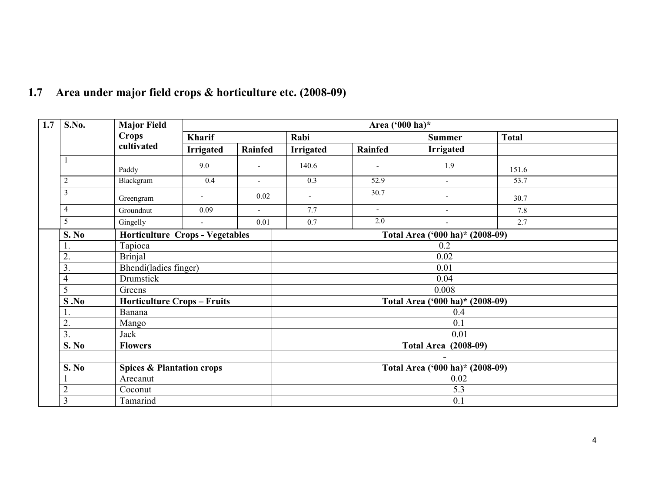| 1.7 | S.No.            | <b>Major Field</b>                     |                  | Area $(^{6}00$ ha)*      |                                 |         |                             |                   |  |  |  |
|-----|------------------|----------------------------------------|------------------|--------------------------|---------------------------------|---------|-----------------------------|-------------------|--|--|--|
|     |                  | <b>Crops</b>                           | <b>Kharif</b>    |                          | Rabi                            |         | <b>Summer</b>               | <b>Total</b>      |  |  |  |
|     |                  | cultivated                             | <b>Irrigated</b> | <b>Rainfed</b>           | <b>Irrigated</b>                | Rainfed | <b>Irrigated</b>            |                   |  |  |  |
|     |                  | Paddy                                  | 9.0              | $\overline{a}$           | 140.6                           |         | 1.9                         | 151.6             |  |  |  |
|     | $\overline{2}$   | Blackgram                              | 0.4              | $\overline{\phantom{0}}$ | $\overline{0.3}$                | 52.9    | $\sim$                      | $\overline{53.7}$ |  |  |  |
|     | 3                | Greengram                              |                  | 0.02                     | $\overline{\phantom{a}}$        | 30.7    | $\overline{\phantom{a}}$    | 30.7              |  |  |  |
|     | $\overline{4}$   | Groundnut                              | 0.09             | $\overline{\phantom{0}}$ | 7.7                             | $\sim$  | $\blacksquare$              | 7.8               |  |  |  |
|     | 5                | Gingelly                               |                  | 0.01                     | 0.7                             | 2.0     |                             | 2.7               |  |  |  |
|     | S. No            | <b>Horticulture Crops - Vegetables</b> |                  |                          | Total Area ('000 ha)* (2008-09) |         |                             |                   |  |  |  |
|     |                  | Tapioca                                |                  |                          | 0.2                             |         |                             |                   |  |  |  |
|     | 2.               | <b>Brinjal</b>                         |                  |                          | 0.02                            |         |                             |                   |  |  |  |
|     | 3.               | Bhendi(ladies finger)                  |                  |                          | 0.01                            |         |                             |                   |  |  |  |
|     | $\overline{4}$   | Drumstick                              |                  |                          | 0.04                            |         |                             |                   |  |  |  |
|     | 5                | Greens                                 |                  |                          | 0.008                           |         |                             |                   |  |  |  |
|     | S.No             | <b>Horticulture Crops - Fruits</b>     |                  |                          | Total Area ('000 ha)* (2008-09) |         |                             |                   |  |  |  |
|     |                  | Banana                                 |                  |                          | 0.4                             |         |                             |                   |  |  |  |
|     | $\overline{2}$ . | Mango                                  |                  |                          |                                 |         | 0.1                         |                   |  |  |  |
|     | $\overline{3}$ . | Jack                                   |                  |                          |                                 |         | 0.01                        |                   |  |  |  |
|     | S. No            | <b>Flowers</b>                         |                  |                          |                                 |         | <b>Total Area (2008-09)</b> |                   |  |  |  |
|     |                  |                                        |                  |                          |                                 |         |                             |                   |  |  |  |
|     | S. No            | <b>Spices &amp; Plantation crops</b>   |                  |                          | Total Area ('000 ha)* (2008-09) |         |                             |                   |  |  |  |
|     |                  | Arecanut                               |                  |                          | 0.02                            |         |                             |                   |  |  |  |
|     | $\overline{2}$   | Coconut                                |                  |                          | 5.3                             |         |                             |                   |  |  |  |
|     | 3                | Tamarind                               |                  |                          |                                 |         | 0.1                         |                   |  |  |  |

# 1.7 Area under major field crops & horticulture etc. (2008-09)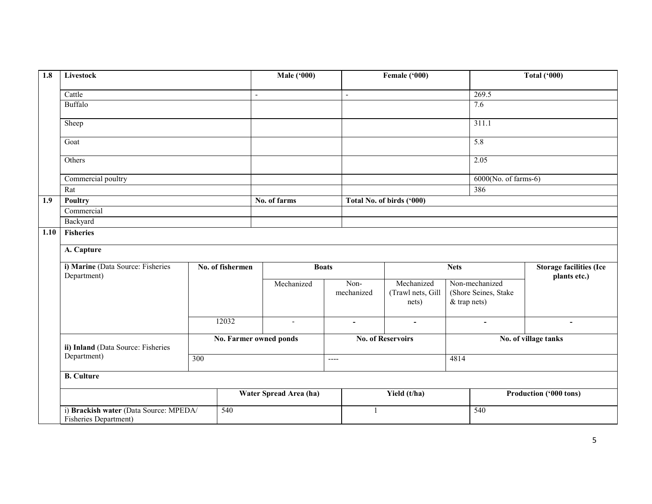| 1.8  | Livestock                                                       |                  |                  | <b>Male</b> ('000)            |                    | Female ('000)                   |                |                                                | <b>Total ('000)</b>    |
|------|-----------------------------------------------------------------|------------------|------------------|-------------------------------|--------------------|---------------------------------|----------------|------------------------------------------------|------------------------|
|      | Cattle                                                          |                  |                  | $\blacksquare$                | $\blacksquare$     |                                 |                | 269.5                                          |                        |
|      | Buffalo                                                         |                  |                  |                               |                    |                                 |                | 7.6                                            |                        |
|      | Sheep                                                           |                  |                  |                               |                    |                                 |                | 311.1                                          |                        |
|      | Goat                                                            |                  |                  |                               |                    |                                 |                | 5.8                                            |                        |
|      | Others                                                          |                  |                  |                               |                    |                                 |                | 2.05                                           |                        |
|      | Commercial poultry                                              |                  |                  |                               |                    |                                 |                | $6000(No. of farms-6)$                         |                        |
|      | Rat                                                             |                  |                  |                               |                    |                                 |                | 386                                            |                        |
| 1.9  | Poultry                                                         |                  |                  | No. of farms                  |                    | Total No. of birds ('000)       |                |                                                |                        |
|      | Commercial                                                      |                  |                  |                               |                    |                                 |                |                                                |                        |
|      | Backyard                                                        |                  |                  |                               |                    |                                 |                |                                                |                        |
| 1.10 | <b>Fisheries</b>                                                |                  |                  |                               |                    |                                 |                |                                                |                        |
|      | A. Capture                                                      |                  |                  |                               |                    |                                 |                |                                                |                        |
|      |                                                                 |                  |                  |                               |                    |                                 |                |                                                |                        |
|      | i) Marine (Data Source: Fisheries<br>Department)                |                  | No. of fishermen | <b>Boats</b>                  |                    |                                 | <b>Nets</b>    | <b>Storage facilities (Ice</b><br>plants etc.) |                        |
|      |                                                                 |                  |                  | Mechanized                    | Non-<br>mechanized | Mechanized<br>(Trawl nets, Gill |                | Non-mechanized<br>(Shore Seines, Stake         |                        |
|      |                                                                 |                  |                  |                               |                    | nets)                           | $&$ trap nets) |                                                |                        |
|      |                                                                 |                  | 12032            | $\blacksquare$                | $\sim$             | $\blacksquare$                  |                | $\blacksquare$                                 | $\blacksquare$         |
|      | ii) Inland (Data Source: Fisheries                              | $\overline{300}$ |                  | <b>No. Farmer owned ponds</b> |                    | <b>No. of Reservoirs</b>        |                |                                                | No. of village tanks   |
|      | Department)                                                     |                  |                  |                               | $---$              |                                 | 4814           |                                                |                        |
|      | <b>B.</b> Culture                                               |                  |                  |                               |                    |                                 |                |                                                |                        |
|      |                                                                 |                  |                  | Water Spread Area (ha)        |                    | Yield (t/ha)                    |                |                                                | Production ('000 tons) |
|      | i) Brackish water (Data Source: MPEDA/<br>Fisheries Department) | 540              |                  | $\mathbf{1}$                  |                    |                                 | 540            |                                                |                        |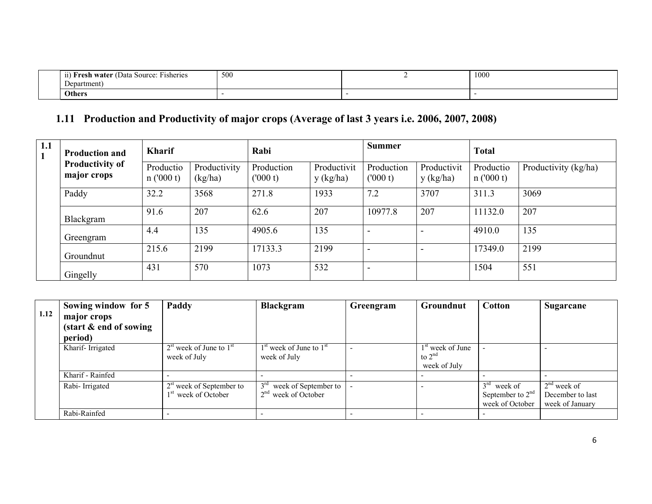| $\overline{\phantom{a}}$<br>Jata<br>Hisheries<br>Source:<br>water (†<br>. | 500 | 1000 |
|---------------------------------------------------------------------------|-----|------|
| Department                                                                |     |      |
| Others                                                                    |     |      |

# 1.11 Production and Productivity of major crops (Average of last 3 years i.e. 2006, 2007, 2008)

| 1.1<br>$\mathbf{1}$ | <b>Production and</b>                                                   | <b>Kharif</b>         |                                                               | Rabi                                                  |                          |                | <b>Summer</b>            |                                                | <b>Total</b>                                           |      |                                                      |
|---------------------|-------------------------------------------------------------------------|-----------------------|---------------------------------------------------------------|-------------------------------------------------------|--------------------------|----------------|--------------------------|------------------------------------------------|--------------------------------------------------------|------|------------------------------------------------------|
|                     | <b>Productivity of</b><br>major crops                                   | Productio<br>n(000 t) | Productivity<br>(kg/ha)                                       | Production<br>(000 t)                                 | Productivit<br>y (kg/ha) |                | Production<br>(000 t)    | Productivit<br>y (kg/ha)                       | Productio<br>n(000 t)                                  |      | Productivity (kg/ha)                                 |
|                     | Paddy                                                                   | 32.2                  | 3568                                                          | 271.8                                                 | 1933                     |                | 7.2                      | 3707                                           | 311.3                                                  | 3069 |                                                      |
|                     | Blackgram                                                               | 91.6                  | 207                                                           | 62.6                                                  | 207                      |                | 10977.8                  | 207                                            | 11132.0                                                | 207  |                                                      |
|                     | Greengram                                                               | 4.4                   | 135                                                           | 4905.6                                                | 135                      |                | $\overline{\phantom{a}}$ | $\blacksquare$                                 | 4910.0                                                 | 135  |                                                      |
|                     | Groundnut                                                               | 215.6                 | 2199                                                          | 17133.3                                               | 2199                     |                | $\blacksquare$           | $\overline{\phantom{a}}$                       | 17349.0                                                | 2199 |                                                      |
|                     | Gingelly                                                                | 431                   | 570                                                           | 1073                                                  | 532                      |                | $\blacksquare$           |                                                | 1504                                                   | 551  |                                                      |
|                     |                                                                         |                       |                                                               |                                                       |                          |                |                          |                                                |                                                        |      |                                                      |
| 1.12                | Sowing window for 5<br>major crops<br>(start & end of sowing<br>period) |                       | Paddy                                                         | <b>Blackgram</b>                                      |                          |                | Greengram                | <b>Groundnut</b>                               | <b>Cotton</b>                                          |      | <b>Sugarcane</b>                                     |
|                     | Kharif-Irrigated                                                        |                       | $2st$ week of June to $1st$<br>week of July                   | $1st$ week of June to $1st$<br>week of July           |                          | $\overline{a}$ |                          | $1st$ week of June<br>to $2nd$<br>week of July |                                                        |      | $\overline{\phantom{a}}$                             |
|                     | Kharif - Rainfed                                                        |                       |                                                               | $\blacksquare$                                        |                          | $\overline{a}$ |                          |                                                |                                                        |      | $\sim$                                               |
|                     | Rabi-Irrigated                                                          |                       | $2st$ week of September to<br>1 <sup>st</sup> week of October | 3 <sup>rd</sup><br>2 <sup>nd</sup><br>week of October | week of September to     |                |                          | $\overline{\phantom{a}}$                       | $3rd$ week of<br>September to $2nd$<br>week of October |      | $2nd$ week of<br>December to last<br>week of January |
|                     | Rabi-Rainfed                                                            |                       |                                                               |                                                       |                          |                |                          |                                                |                                                        |      |                                                      |

|      | Sowing window for 5                | Paddy                                                         | <b>Blackgram</b>                                           | Greengram | <b>Groundnut</b>                                         | <b>Cotton</b>                                          | Sugarcane                                            |
|------|------------------------------------|---------------------------------------------------------------|------------------------------------------------------------|-----------|----------------------------------------------------------|--------------------------------------------------------|------------------------------------------------------|
| 1.12 | major crops                        |                                                               |                                                            |           |                                                          |                                                        |                                                      |
|      | $(\text{start} \& \text{end of })$ |                                                               |                                                            |           |                                                          |                                                        |                                                      |
|      | period)                            |                                                               |                                                            |           |                                                          |                                                        |                                                      |
|      | Kharif-Irrigated                   | $2st$ week of June to $1st$<br>week of July                   | $1st$ week of June to $1st$<br>week of July                |           | 1 <sup>st</sup> week of June<br>to $2nd$<br>week of July |                                                        |                                                      |
|      | Kharif - Rainfed                   |                                                               |                                                            |           | $\overline{\phantom{0}}$                                 |                                                        |                                                      |
|      | Rabi-Irrigated                     | $2st$ week of September to<br>1 <sup>st</sup> week of October | week of September to<br>week of October<br>2 <sup>nd</sup> |           |                                                          | $3rd$ week of<br>September to $2nd$<br>week of October | $2nd$ week of<br>December to last<br>week of January |
|      | Rabi-Rainfed                       |                                                               |                                                            |           |                                                          |                                                        |                                                      |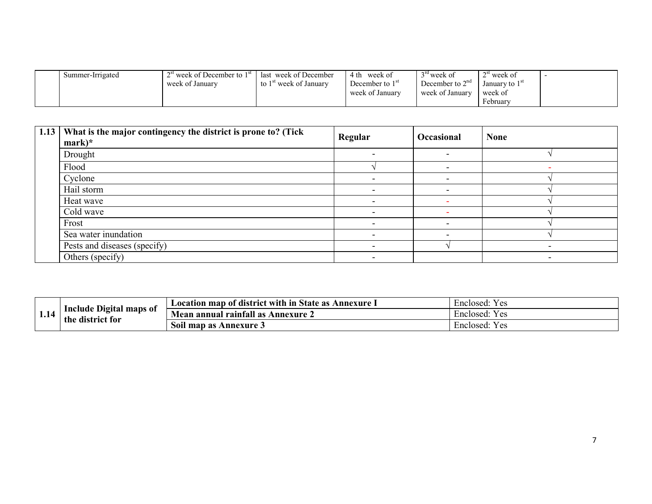| Summer-Irrigated | $2st$ week of December to $1st$ | ast week of December                        | 4 th<br>week of   | ™week of          | ™week of                    |  |
|------------------|---------------------------------|---------------------------------------------|-------------------|-------------------|-----------------------------|--|
|                  | week of January                 | to $1st$<br>l <sup>st</sup> week of Januarv | December to $1st$ | December to $2na$ | January to $1^{\mathrm{s}}$ |  |
|                  |                                 |                                             | week of January   | week of January   | week of                     |  |
|                  |                                 |                                             |                   |                   | February                    |  |

| 1.13 What is the major contingency the district is prone to? (Tick<br>$mark)*$ | Regular                      | Occasional               | <b>None</b> |
|--------------------------------------------------------------------------------|------------------------------|--------------------------|-------------|
| Drought                                                                        |                              | $\overline{\phantom{0}}$ |             |
| Flood                                                                          |                              | $\overline{\phantom{0}}$ |             |
| Cyclone                                                                        | $\overline{\phantom{0}}$     |                          |             |
| Hail storm                                                                     | $\overline{\phantom{0}}$     |                          |             |
| Heat wave                                                                      | $\overline{\phantom{0}}$     |                          |             |
| Cold wave                                                                      |                              |                          |             |
| Frost                                                                          |                              |                          |             |
| Sea water inundation                                                           | $\qquad \qquad \blacksquare$ | $\overline{\phantom{0}}$ |             |
| Pests and diseases (specify)                                                   | $\qquad \qquad \blacksquare$ |                          |             |
| Others (specify)                                                               | $\overline{\phantom{0}}$     |                          |             |

|      | ∽∙<br>Include Digital maps of<br>$\bullet$<br>the<br>district for | Location map of district with in State as<br>Annexure I | $\mathbf{r}$<br>$V \alpha$<br>Enclosed:<br>. ია |
|------|-------------------------------------------------------------------|---------------------------------------------------------|-------------------------------------------------|
| 1,14 |                                                                   | annual rainfall as<br>Annexure<br>Mean                  | $\mathbf{v}$<br><b>Yes</b><br>Enclosed:         |
|      |                                                                   | Soil<br>Annexure 3<br>map as                            | $\mathbf{v}$<br>Yes<br>Enclosed:                |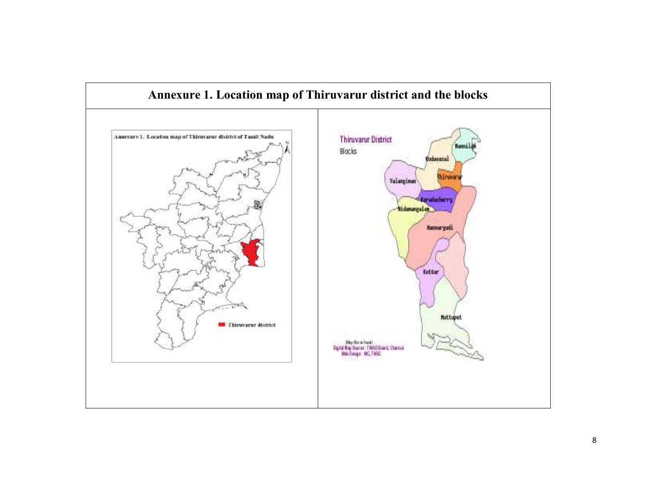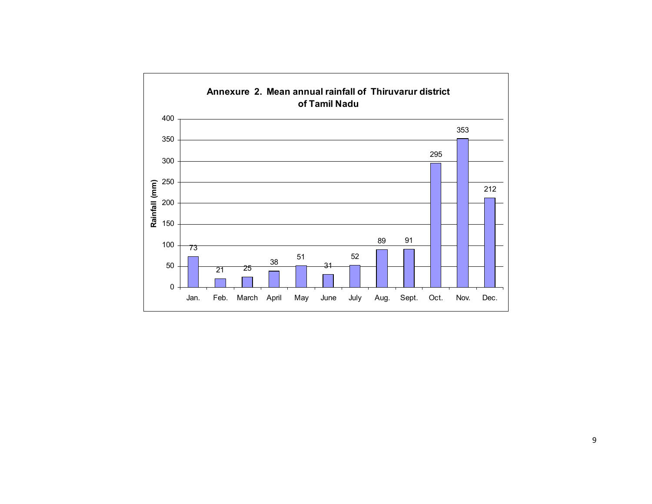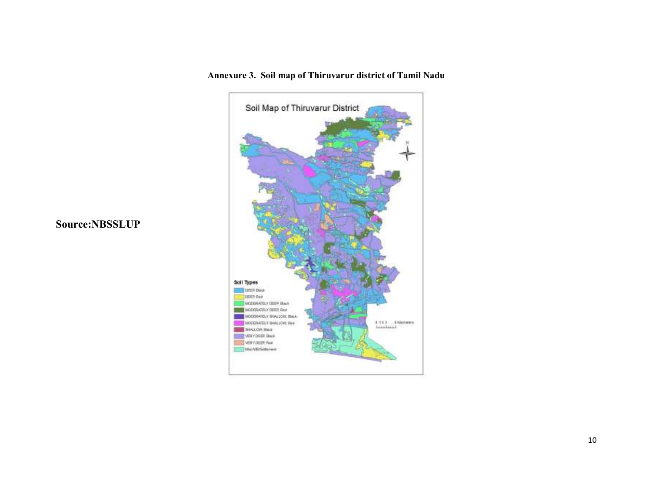

Source:NBSSLUP

Annexure 3. Soil map of Thiruvarur district of Tamil Nadu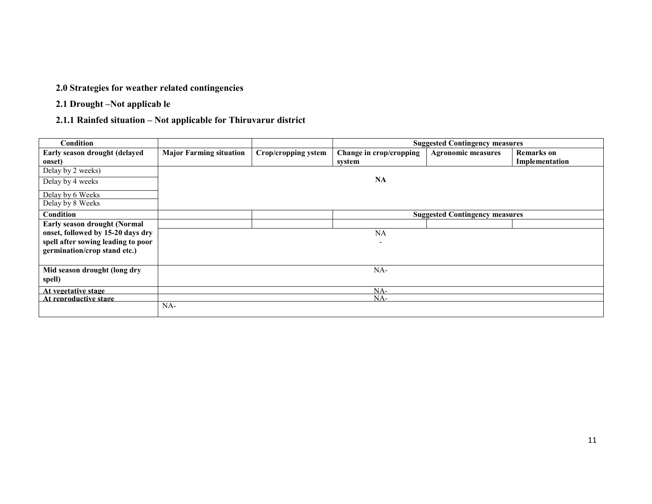#### 2.0 Strategies for weather related contingencies

2.1 Drought –Not applicab le

## 2.1.1 Rainfed situation – Not applicable for Thiruvarur district

| Condition                           |                                |                     | <b>Suggested Contingency measures</b> |                                       |                   |
|-------------------------------------|--------------------------------|---------------------|---------------------------------------|---------------------------------------|-------------------|
| Early season drought (delayed       | <b>Major Farming situation</b> | Crop/cropping ystem | Change in crop/cropping               | <b>Agronomic measures</b>             | <b>Remarks</b> on |
| onset)                              |                                |                     | system                                |                                       | Implementation    |
| Delay by 2 weeks)                   |                                |                     |                                       |                                       |                   |
| Delay by 4 weeks                    |                                |                     | <b>NA</b>                             |                                       |                   |
| Delay by 6 Weeks                    |                                |                     |                                       |                                       |                   |
| Delay by 8 Weeks                    |                                |                     |                                       |                                       |                   |
| Condition                           |                                |                     |                                       | <b>Suggested Contingency measures</b> |                   |
| <b>Early season drought (Normal</b> |                                |                     |                                       |                                       |                   |
| onset, followed by 15-20 days dry   |                                |                     | <b>NA</b>                             |                                       |                   |
| spell after sowing leading to poor  |                                |                     | $\overline{\phantom{a}}$              |                                       |                   |
| germination/crop stand etc.)        |                                |                     |                                       |                                       |                   |
|                                     |                                |                     |                                       |                                       |                   |
| Mid season drought (long dry        |                                |                     | NA-                                   |                                       |                   |
| spell)                              |                                |                     |                                       |                                       |                   |
| At vegetative stage                 |                                |                     | NA-                                   |                                       |                   |
| At reproductive stage               |                                |                     | NA-                                   |                                       |                   |
|                                     | $NA-$                          |                     |                                       |                                       |                   |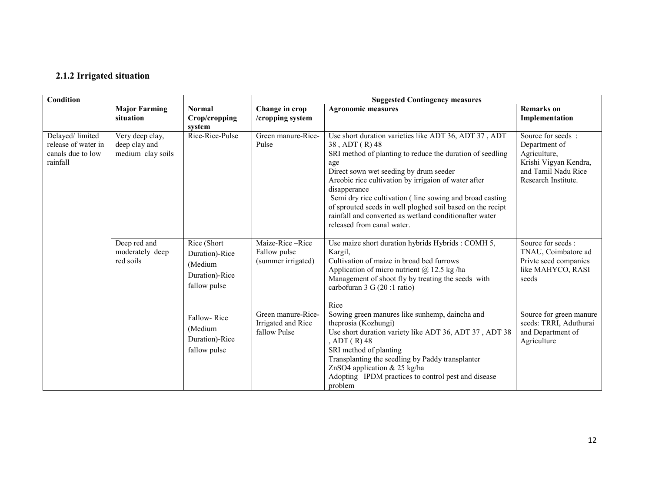#### 2.1.2 Irrigated situation

| Condition                                                               |                                                       |                                                                            |                                                          | <b>Suggested Contingency measures</b>                                                                                                                                                                                                                                                                                                                                                                                                                                           |                                                                                                                            |
|-------------------------------------------------------------------------|-------------------------------------------------------|----------------------------------------------------------------------------|----------------------------------------------------------|---------------------------------------------------------------------------------------------------------------------------------------------------------------------------------------------------------------------------------------------------------------------------------------------------------------------------------------------------------------------------------------------------------------------------------------------------------------------------------|----------------------------------------------------------------------------------------------------------------------------|
|                                                                         | <b>Major Farming</b><br>situation                     | <b>Normal</b><br>Crop/cropping<br>system                                   | Change in crop<br>/cropping system                       | <b>Agronomic measures</b>                                                                                                                                                                                                                                                                                                                                                                                                                                                       | <b>Remarks</b> on<br>Implementation                                                                                        |
| Delayed/limited<br>release of water in<br>canals due to low<br>rainfall | Very deep clay,<br>deep clay and<br>medium clay soils | Rice-Rice-Pulse                                                            | Green manure-Rice-<br>Pulse                              | Use short duration varieties like ADT 36, ADT 37, ADT<br>38, ADT (R) 48<br>SRI method of planting to reduce the duration of seedling<br>age<br>Direct sown wet seeding by drum seeder<br>Areobic rice cultivation by irrigaion of water after<br>disapperance<br>Semi dry rice cultivation (line sowing and broad casting<br>of sprouted seeds in well ploghed soil based on the recipt<br>rainfall and converted as wetland conditionafter water<br>released from canal water. | Source for seeds :<br>Department of<br>Agriculture,<br>Krishi Vigyan Kendra,<br>and Tamil Nadu Rice<br>Research Institute. |
|                                                                         | Deep red and<br>moderately deep<br>red soils          | Rice (Short<br>Duration)-Rice<br>(Medium<br>Duration)-Rice<br>fallow pulse | Maize-Rice-Rice<br>Fallow pulse<br>(summer irrigated)    | Use maize short duration hybrids Hybrids : COMH 5,<br>Kargil,<br>Cultivation of maize in broad bed furrows<br>Application of micro nutrient $(a)$ 12.5 kg/ha<br>Management of shoot fly by treating the seeds with<br>carbofuran 3 G (20 :1 ratio)                                                                                                                                                                                                                              | Source for seeds:<br>TNAU, Coimbatore ad<br>Privte seed companies<br>like MAHYCO, RASI<br>seeds                            |
|                                                                         |                                                       | Fallow-Rice<br>(Medium<br>Duration)-Rice<br>fallow pulse                   | Green manure-Rice-<br>Irrigated and Rice<br>fallow Pulse | Rice<br>Sowing green manures like sunhemp, daincha and<br>theprosia (Kozhungi)<br>Use short duration variety like ADT 36, ADT 37, ADT 38<br>, ADT $(R)$ 48<br>SRI method of planting<br>Transplanting the seedling by Paddy transplanter<br>ZnSO4 application & 25 kg/ha<br>Adopting IPDM practices to control pest and disease<br>problem                                                                                                                                      | Source for green manure<br>seeds: TRRI, Aduthurai<br>and Department of<br>Agriculture                                      |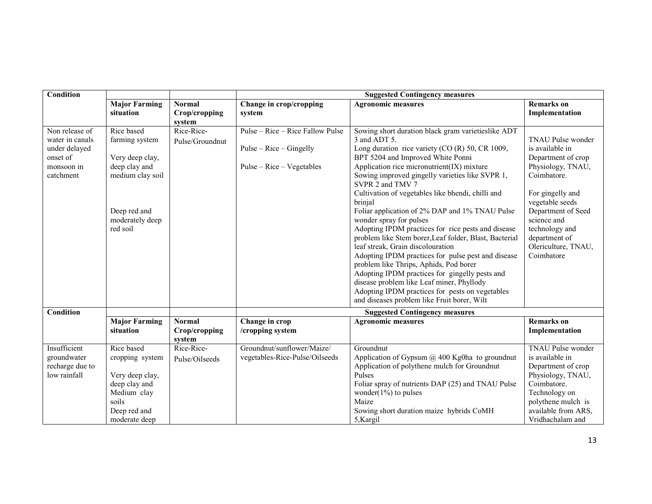| <b>Condition</b>                                                                          |                                                                                                                                     |                                          | <b>Suggested Contingency measures</b>                                                        |                                                                                                                                                                                                                                                                                                                                                                                                                                                                                                                                                                                                                                                                                                                                                                                                                                                                                         |                                                                                                                                                                                                                                                           |
|-------------------------------------------------------------------------------------------|-------------------------------------------------------------------------------------------------------------------------------------|------------------------------------------|----------------------------------------------------------------------------------------------|-----------------------------------------------------------------------------------------------------------------------------------------------------------------------------------------------------------------------------------------------------------------------------------------------------------------------------------------------------------------------------------------------------------------------------------------------------------------------------------------------------------------------------------------------------------------------------------------------------------------------------------------------------------------------------------------------------------------------------------------------------------------------------------------------------------------------------------------------------------------------------------------|-----------------------------------------------------------------------------------------------------------------------------------------------------------------------------------------------------------------------------------------------------------|
|                                                                                           | <b>Major Farming</b><br>situation                                                                                                   | <b>Normal</b><br>Crop/cropping<br>system | Change in crop/cropping<br>system                                                            | <b>Agronomic measures</b>                                                                                                                                                                                                                                                                                                                                                                                                                                                                                                                                                                                                                                                                                                                                                                                                                                                               | <b>Remarks</b> on<br>Implementation                                                                                                                                                                                                                       |
| Non release of<br>water in canals<br>under delayed<br>onset of<br>monsoon in<br>catchment | Rice based<br>farming system<br>Very deep clay,<br>deep clay and<br>medium clay soil<br>Deep red and<br>moderately deep<br>red soil | Rice-Rice-<br>Pulse/Groundnut            | Pulse – Rice – Rice Fallow Pulse<br>$Pulse - Rice - Gingelly$<br>$Pulse - Rice - Vegetables$ | Sowing short duration black gram varietieslike ADT<br>$3$ and ADT $5$ .<br>Long duration rice variety (CO (R) 50, CR 1009,<br>BPT 5204 and Improved White Ponni<br>Application rice micronutrient(IX) mixture<br>Sowing improved gingelly varieties like SVPR 1,<br>SVPR 2 and TMV 7<br>Cultivation of vegetables like bhendi, chilli and<br>brinjal<br>Foliar application of 2% DAP and 1% TNAU Pulse<br>wonder spray for pulses<br>Adopting IPDM practices for rice pests and disease<br>problem like Stem borer, Leaf folder, Blast, Bacterial<br>leaf streak, Grain discolouration<br>Adopting IPDM practices for pulse pest and disease<br>problem like Thrips, Aphids, Pod borer<br>Adopting IPDM practices for gingelly pests and<br>disease problem like Leaf miner, Phyllody<br>Adopting IPDM practices for pests on vegetables<br>and diseases problem like Fruit borer, Wilt | <b>TNAU Pulse wonder</b><br>is available in<br>Department of crop<br>Physiology, TNAU,<br>Coimbatore.<br>For gingelly and<br>vegetable seeds<br>Department of Seed<br>science and<br>technology and<br>department of<br>Olericulture, TNAU,<br>Coimbatore |
| Condition                                                                                 |                                                                                                                                     |                                          |                                                                                              | <b>Suggested Contingency measures</b>                                                                                                                                                                                                                                                                                                                                                                                                                                                                                                                                                                                                                                                                                                                                                                                                                                                   |                                                                                                                                                                                                                                                           |
|                                                                                           | <b>Major Farming</b><br>situation                                                                                                   | <b>Normal</b><br>Crop/cropping<br>system | Change in crop<br>/cropping system                                                           | <b>Agronomic measures</b>                                                                                                                                                                                                                                                                                                                                                                                                                                                                                                                                                                                                                                                                                                                                                                                                                                                               | <b>Remarks</b> on<br>Implementation                                                                                                                                                                                                                       |
| Insufficient<br>groundwater<br>recharge due to<br>low rainfall                            | Rice based<br>cropping system<br>Very deep clay,<br>deep clay and<br>Medium clay<br>soils<br>Deep red and<br>moderate deep          | Rice-Rice-<br>Pulse/Oilseeds             | Groundnut/sunflower/Maize/<br>vegetables-Rice-Pulse/Oilseeds                                 | Groundnut<br>Application of Gypsum $@$ 400 Kg0ha to groundnut<br>Application of polythene mulch for Groundnut<br>Pulses<br>Foliar spray of nutrients DAP (25) and TNAU Pulse<br>wonder( $1\%$ ) to pulses<br>Maize<br>Sowing short duration maize hybrids CoMH<br>5,Kargil                                                                                                                                                                                                                                                                                                                                                                                                                                                                                                                                                                                                              | <b>TNAU Pulse wonder</b><br>is available in<br>Department of crop<br>Physiology, TNAU,<br>Coimbatore.<br>Technology on<br>polythene mulch is<br>available from ARS,<br>Vridhachalam and                                                                   |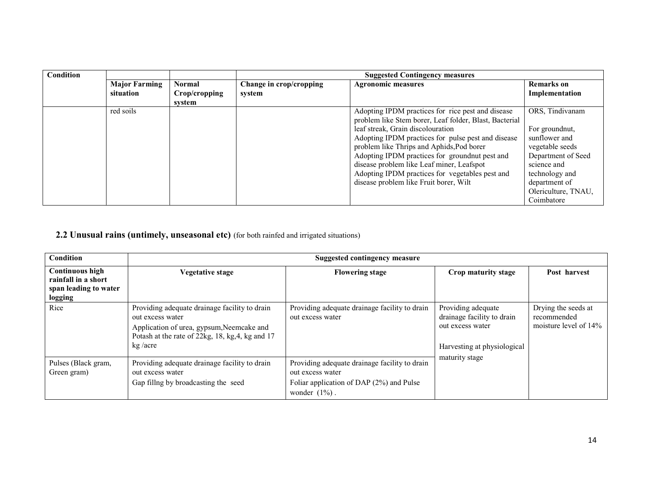| <b>Condition</b> |                      |               |                         | <b>Suggested Contingency measures</b>                  |                     |
|------------------|----------------------|---------------|-------------------------|--------------------------------------------------------|---------------------|
|                  | <b>Major Farming</b> | <b>Normal</b> | Change in crop/cropping | <b>Agronomic measures</b>                              | <b>Remarks</b> on   |
|                  | situation            | Crop/cropping | system                  |                                                        | Implementation      |
|                  |                      | svstem        |                         |                                                        |                     |
|                  | red soils            |               |                         | Adopting IPDM practices for rice pest and disease      | ORS, Tindivanam     |
|                  |                      |               |                         | problem like Stem borer, Leaf folder, Blast, Bacterial |                     |
|                  |                      |               |                         | leaf streak, Grain discolouration                      | For ground nut,     |
|                  |                      |               |                         | Adopting IPDM practices for pulse pest and disease     | sunflower and       |
|                  |                      |               |                         | problem like Thrips and Aphids, Pod borer              | vegetable seeds     |
|                  |                      |               |                         | Adopting IPDM practices for groundnut pest and         | Department of Seed  |
|                  |                      |               |                         | disease problem like Leaf miner, Leafspot              | science and         |
|                  |                      |               |                         | Adopting IPDM practices for vegetables pest and        | technology and      |
|                  |                      |               |                         | disease problem like Fruit borer, Wilt                 | department of       |
|                  |                      |               |                         |                                                        | Olericulture, TNAU, |
|                  |                      |               |                         |                                                        | Coimbatore          |

#### **2.2 Unusual rains (untimely, unseasonal etc)** (for both rainfed and irrigated situations)

| Condition                                                                         | <b>Suggested contingency measure</b>                                                                                                                                          |                                                                                                                                   |                                                                                                     |                                                                |  |
|-----------------------------------------------------------------------------------|-------------------------------------------------------------------------------------------------------------------------------------------------------------------------------|-----------------------------------------------------------------------------------------------------------------------------------|-----------------------------------------------------------------------------------------------------|----------------------------------------------------------------|--|
| <b>Continuous high</b><br>rainfall in a short<br>span leading to water<br>logging | <b>Vegetative stage</b>                                                                                                                                                       | <b>Flowering stage</b>                                                                                                            | Crop maturity stage                                                                                 | Post harvest                                                   |  |
| Rice                                                                              | Providing adequate drainage facility to drain<br>out excess water<br>Application of urea, gypsum, Neemcake and<br>Potash at the rate of 22kg, 18, kg, 4, kg and 17<br>kg/acre | Providing adequate drainage facility to drain<br>out excess water                                                                 | Providing adequate<br>drainage facility to drain<br>out excess water<br>Harvesting at physiological | Drying the seeds at<br>recommended<br>moisture level of $14\%$ |  |
| Pulses (Black gram,<br>Green gram)                                                | Providing adequate drainage facility to drain<br>out excess water<br>Gap filling by broadcasting the seed                                                                     | Providing adequate drainage facility to drain<br>out excess water<br>Foliar application of DAP (2%) and Pulse<br>wonder $(1\%)$ . | maturity stage                                                                                      |                                                                |  |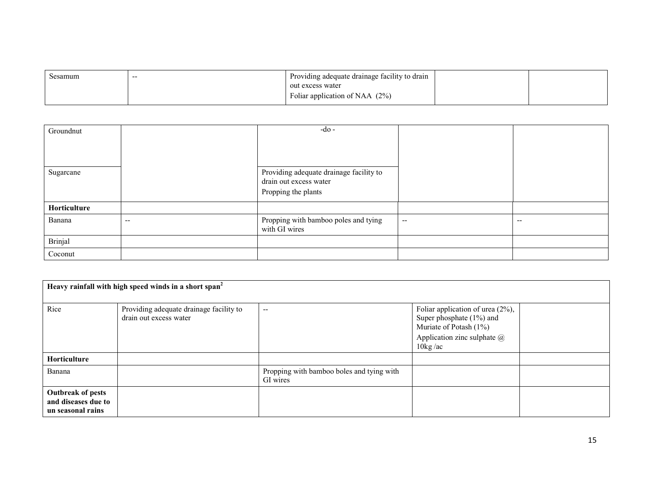| Sesamum | $- -$ | Providing adequate drainage facility to drain |  |
|---------|-------|-----------------------------------------------|--|
|         |       | out excess water                              |  |
|         |       | Foliar application of NAA $(2%)$              |  |

| Groundnut    |       | $-do$ -                                                                                  |                          |       |
|--------------|-------|------------------------------------------------------------------------------------------|--------------------------|-------|
| Sugarcane    |       | Providing adequate drainage facility to<br>drain out excess water<br>Propping the plants |                          |       |
| Horticulture |       |                                                                                          |                          |       |
| Banana       | $- -$ | Propping with bamboo poles and tying<br>with GI wires                                    | $\overline{\phantom{a}}$ | $- -$ |
| Brinjal      |       |                                                                                          |                          |       |
| Coconut      |       |                                                                                          |                          |       |

| Heavy rainfall with high speed winds in a short span <sup>2</sup>    |                                                                   |                                                       |                                                                                                                                                               |  |
|----------------------------------------------------------------------|-------------------------------------------------------------------|-------------------------------------------------------|---------------------------------------------------------------------------------------------------------------------------------------------------------------|--|
| Rice                                                                 | Providing adequate drainage facility to<br>drain out excess water | $- -$                                                 | Foliar application of urea $(2\%)$ ,<br>Super phosphate $(1%)$ and<br>Muriate of Potash (1%)<br>Application zinc sulphate $\omega$<br>$10\text{kg}/\text{ac}$ |  |
| Horticulture                                                         |                                                                   |                                                       |                                                                                                                                                               |  |
| Banana                                                               |                                                                   | Propping with bamboo boles and tying with<br>GI wires |                                                                                                                                                               |  |
| <b>Outbreak of pests</b><br>and diseases due to<br>un seasonal rains |                                                                   |                                                       |                                                                                                                                                               |  |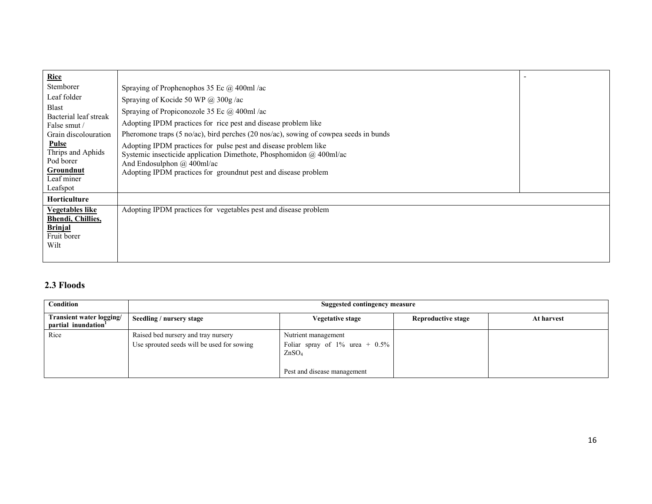| Rice                                    |                                                                                                                                                                                 |  |
|-----------------------------------------|---------------------------------------------------------------------------------------------------------------------------------------------------------------------------------|--|
| Stemborer                               | Spraying of Prophenophos 35 Ec $\omega$ 400ml/ac                                                                                                                                |  |
| Leaf folder                             | Spraying of Kocide 50 WP @ 300g/ac                                                                                                                                              |  |
| <b>Blast</b><br>Bacterial leaf streak   | Spraying of Propiconozole 35 Ec @ 400ml /ac                                                                                                                                     |  |
| False smut/                             | Adopting IPDM practices for rice pest and disease problem like                                                                                                                  |  |
| Grain discolouration                    | Pheromone traps (5 no/ac), bird perches (20 nos/ac), sowing of cowpea seeds in bunds                                                                                            |  |
| Pulse<br>Thrips and Aphids<br>Pod borer | Adopting IPDM practices for pulse pest and disease problem like<br>Systemic insecticide application Dimethote, Phosphomidon $\omega$ 400ml/ac<br>And Endosulphon $(a)$ 400ml/ac |  |
| Groundnut                               | Adopting IPDM practices for groundnut pest and disease problem                                                                                                                  |  |
| Leaf miner                              |                                                                                                                                                                                 |  |
| Leafspot                                |                                                                                                                                                                                 |  |
| <b>Horticulture</b>                     |                                                                                                                                                                                 |  |
| <b>Vegetables like</b>                  | Adopting IPDM practices for vegetables pest and disease problem                                                                                                                 |  |
| <b>Bhendi</b> , Chillies,               |                                                                                                                                                                                 |  |
| <b>Brinjal</b>                          |                                                                                                                                                                                 |  |
| Fruit borer                             |                                                                                                                                                                                 |  |
| Wilt                                    |                                                                                                                                                                                 |  |
|                                         |                                                                                                                                                                                 |  |

## 2.3 Floods

| Condition                                                   | Suggested contingency measure                                                     |                                                                                                                 |                    |            |
|-------------------------------------------------------------|-----------------------------------------------------------------------------------|-----------------------------------------------------------------------------------------------------------------|--------------------|------------|
| Transient water logging/<br>partial inundation <sup>1</sup> | Seedling / nursery stage                                                          | Vegetative stage                                                                                                | Reproductive stage | At harvest |
| Rice                                                        | Raised bed nursery and tray nursery<br>Use sprouted seeds will be used for sowing | Nutrient management<br>Foliar spray of $1\%$ urea + $0.5\%$<br>ZnSO <sub>4</sub><br>Pest and disease management |                    |            |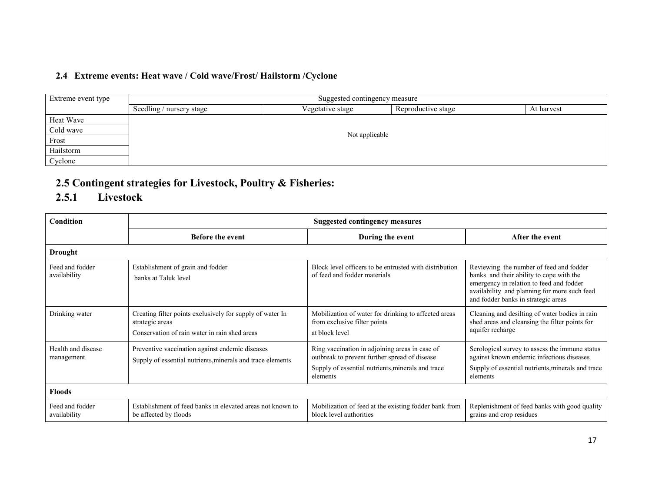## 2.4 Extreme events: Heat wave / Cold wave/Frost/ Hailstorm /Cyclone

| Extreme event type | Suggested contingency measure |                  |                    |            |  |  |  |
|--------------------|-------------------------------|------------------|--------------------|------------|--|--|--|
|                    | Seedling / nursery stage      | Vegetative stage | Reproductive stage | At harvest |  |  |  |
| Heat Wave          |                               |                  |                    |            |  |  |  |
| Cold wave          |                               |                  |                    |            |  |  |  |
| Frost              | Not applicable                |                  |                    |            |  |  |  |
| Hailstorm          |                               |                  |                    |            |  |  |  |
| Cyclone            |                               |                  |                    |            |  |  |  |

# 2.5 Contingent strategies for Livestock, Poultry & Fisheries:

# 2.5.1 Livestock

| Condition                        |                                                                                                                               | <b>Suggested contingency measures</b>                                                                                                                            |                                                                                                                                                                                                                        |
|----------------------------------|-------------------------------------------------------------------------------------------------------------------------------|------------------------------------------------------------------------------------------------------------------------------------------------------------------|------------------------------------------------------------------------------------------------------------------------------------------------------------------------------------------------------------------------|
|                                  | <b>Before the event</b>                                                                                                       | During the event                                                                                                                                                 | After the event                                                                                                                                                                                                        |
| <b>Drought</b>                   |                                                                                                                               |                                                                                                                                                                  |                                                                                                                                                                                                                        |
| Feed and fodder<br>availability  | Establishment of grain and fodder<br>banks at Taluk level                                                                     | Block level officers to be entrusted with distribution<br>of feed and fodder materials                                                                           | Reviewing the number of feed and fodder<br>banks and their ability to cope with the<br>emergency in relation to feed and fodder<br>availability and planning for more such feed<br>and fodder banks in strategic areas |
| Drinking water                   | Creating filter points exclusively for supply of water In<br>strategic areas<br>Conservation of rain water in rain shed areas | Mobilization of water for drinking to affected areas<br>from exclusive filter points<br>at block level                                                           | Cleaning and desilting of water bodies in rain<br>shed areas and cleansing the filter points for<br>aquifer recharge                                                                                                   |
| Health and disease<br>management | Preventive vaccination against endemic diseases<br>Supply of essential nutrients, minerals and trace elements                 | Ring vaccination in adjoining areas in case of<br>outbreak to prevent further spread of disease<br>Supply of essential nutrients, minerals and trace<br>elements | Serological survey to assess the immune status<br>against known endemic infectious diseases<br>Supply of essential nutrients, minerals and trace<br>elements                                                           |
| <b>Floods</b>                    |                                                                                                                               |                                                                                                                                                                  |                                                                                                                                                                                                                        |
| Feed and fodder<br>availability  | Establishment of feed banks in elevated areas not known to<br>be affected by floods                                           | Mobilization of feed at the existing fodder bank from<br>block level authorities                                                                                 | Replenishment of feed banks with good quality<br>grains and crop residues                                                                                                                                              |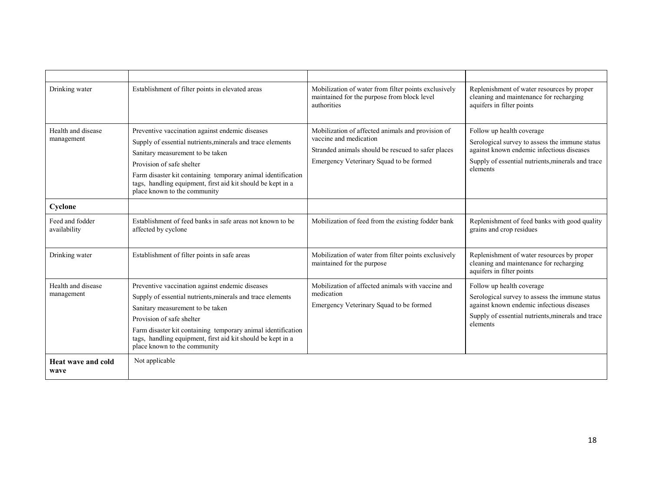| Drinking water                   | Establishment of filter points in elevated areas                                                                                                                                                                                                                                                                                              | Mobilization of water from filter points exclusively<br>maintained for the purpose from block level<br>authorities                                                           | Replenishment of water resources by proper<br>cleaning and maintenance for recharging<br>aquifers in filter points                                                                        |
|----------------------------------|-----------------------------------------------------------------------------------------------------------------------------------------------------------------------------------------------------------------------------------------------------------------------------------------------------------------------------------------------|------------------------------------------------------------------------------------------------------------------------------------------------------------------------------|-------------------------------------------------------------------------------------------------------------------------------------------------------------------------------------------|
| Health and disease<br>management | Preventive vaccination against endemic diseases<br>Supply of essential nutrients, minerals and trace elements<br>Sanitary measurement to be taken<br>Provision of safe shelter<br>Farm disaster kit containing temporary animal identification<br>tags, handling equipment, first aid kit should be kept in a<br>place known to the community | Mobilization of affected animals and provision of<br>vaccine and medication<br>Stranded animals should be rescued to safer places<br>Emergency Veterinary Squad to be formed | Follow up health coverage<br>Serological survey to assess the immune status<br>against known endemic infectious diseases<br>Supply of essential nutrients, minerals and trace<br>elements |
| Cyclone                          |                                                                                                                                                                                                                                                                                                                                               |                                                                                                                                                                              |                                                                                                                                                                                           |
| Feed and fodder<br>availability  | Establishment of feed banks in safe areas not known to be<br>affected by cyclone                                                                                                                                                                                                                                                              | Mobilization of feed from the existing fodder bank                                                                                                                           | Replenishment of feed banks with good quality<br>grains and crop residues                                                                                                                 |
| Drinking water                   | Establishment of filter points in safe areas                                                                                                                                                                                                                                                                                                  | Mobilization of water from filter points exclusively<br>maintained for the purpose                                                                                           | Replenishment of water resources by proper<br>cleaning and maintenance for recharging<br>aquifers in filter points                                                                        |
| Health and disease<br>management | Preventive vaccination against endemic diseases<br>Supply of essential nutrients, minerals and trace elements<br>Sanitary measurement to be taken<br>Provision of safe shelter<br>Farm disaster kit containing temporary animal identification<br>tags, handling equipment, first aid kit should be kept in a<br>place known to the community | Mobilization of affected animals with vaccine and<br>medication<br>Emergency Veterinary Squad to be formed                                                                   | Follow up health coverage<br>Serological survey to assess the immune status<br>against known endemic infectious diseases<br>Supply of essential nutrients, minerals and trace<br>elements |
| Heat wave and cold<br>wave       | Not applicable                                                                                                                                                                                                                                                                                                                                |                                                                                                                                                                              |                                                                                                                                                                                           |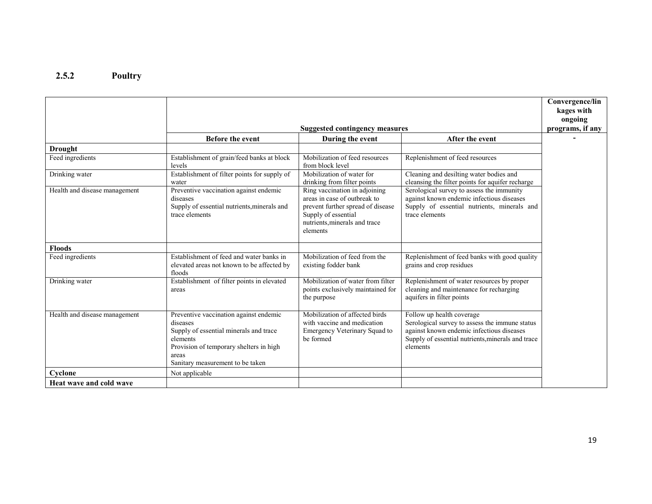#### 2.5.2 Poultry

|                               |                                                                                                                                                                                                  |                                                                                                                                                                        |                                                                                                                                                                                           | Convergence/lin<br>kages with |
|-------------------------------|--------------------------------------------------------------------------------------------------------------------------------------------------------------------------------------------------|------------------------------------------------------------------------------------------------------------------------------------------------------------------------|-------------------------------------------------------------------------------------------------------------------------------------------------------------------------------------------|-------------------------------|
|                               |                                                                                                                                                                                                  | <b>Suggested contingency measures</b>                                                                                                                                  |                                                                                                                                                                                           | ongoing<br>programs, if any   |
|                               | <b>Before the event</b>                                                                                                                                                                          | During the event                                                                                                                                                       | After the event                                                                                                                                                                           |                               |
| <b>Drought</b>                |                                                                                                                                                                                                  |                                                                                                                                                                        |                                                                                                                                                                                           |                               |
| Feed ingredients              | Establishment of grain/feed banks at block<br>levels                                                                                                                                             | Mobilization of feed resources<br>from block level                                                                                                                     | Replenishment of feed resources                                                                                                                                                           |                               |
| Drinking water                | Establishment of filter points for supply of<br>water                                                                                                                                            | Mobilization of water for<br>drinking from filter points                                                                                                               | Cleaning and desilting water bodies and<br>cleansing the filter points for aquifer recharge                                                                                               |                               |
| Health and disease management | Preventive vaccination against endemic<br>diseases<br>Supply of essential nutrients, minerals and<br>trace elements                                                                              | Ring vaccination in adjoining<br>areas in case of outbreak to<br>prevent further spread of disease<br>Supply of essential<br>nutrients, minerals and trace<br>elements | Serological survey to assess the immunity<br>against known endemic infectious diseases<br>Supply of essential nutrients, minerals and<br>trace elements                                   |                               |
| <b>Floods</b>                 |                                                                                                                                                                                                  |                                                                                                                                                                        |                                                                                                                                                                                           |                               |
| Feed ingredients              | Establishment of feed and water banks in<br>elevated areas not known to be affected by<br>floods                                                                                                 | Mobilization of feed from the<br>existing fodder bank                                                                                                                  | Replenishment of feed banks with good quality<br>grains and crop residues                                                                                                                 |                               |
| Drinking water                | Establishment of filter points in elevated<br>areas                                                                                                                                              | Mobilization of water from filter<br>points exclusively maintained for<br>the purpose                                                                                  | Replenishment of water resources by proper<br>cleaning and maintenance for recharging<br>aquifers in filter points                                                                        |                               |
| Health and disease management | Preventive vaccination against endemic<br>diseases<br>Supply of essential minerals and trace<br>elements<br>Provision of temporary shelters in high<br>areas<br>Sanitary measurement to be taken | Mobilization of affected birds<br>with vaccine and medication<br>Emergency Veterinary Squad to<br>be formed                                                            | Follow up health coverage<br>Serological survey to assess the immune status<br>against known endemic infectious diseases<br>Supply of essential nutrients, minerals and trace<br>elements |                               |
| Cyclone                       | Not applicable                                                                                                                                                                                   |                                                                                                                                                                        |                                                                                                                                                                                           |                               |
| Heat wave and cold wave       |                                                                                                                                                                                                  |                                                                                                                                                                        |                                                                                                                                                                                           |                               |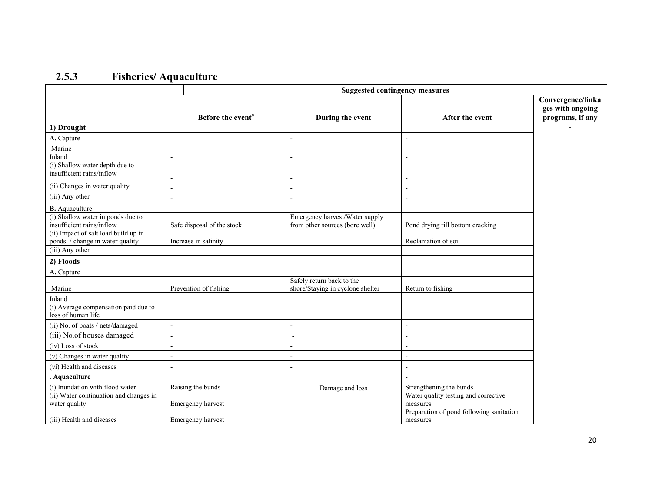## 2.5.3 Fisheries/ Aquaculture

|                                                                         |                               | <b>Suggested contingency measures</b>                            |                                                      |                                                           |
|-------------------------------------------------------------------------|-------------------------------|------------------------------------------------------------------|------------------------------------------------------|-----------------------------------------------------------|
|                                                                         | Before the event <sup>a</sup> | During the event                                                 | After the event                                      | Convergence/linka<br>ges with ongoing<br>programs, if any |
| 1) Drought                                                              |                               |                                                                  |                                                      |                                                           |
| A. Capture                                                              |                               |                                                                  |                                                      |                                                           |
| Marine                                                                  |                               |                                                                  | $\overline{a}$                                       |                                                           |
| Inland                                                                  | ÷.                            |                                                                  | $\overline{\phantom{a}}$                             |                                                           |
| (i) Shallow water depth due to<br>insufficient rains/inflow             |                               |                                                                  |                                                      |                                                           |
| (ii) Changes in water quality                                           |                               |                                                                  | $\blacksquare$                                       |                                                           |
| (iii) Any other                                                         |                               |                                                                  | $\overline{a}$                                       |                                                           |
| <b>B.</b> Aquaculture                                                   |                               |                                                                  | $\blacksquare$                                       |                                                           |
| (i) Shallow water in ponds due to<br>insufficient rains/inflow          | Safe disposal of the stock    | Emergency harvest/Water supply<br>from other sources (bore well) | Pond drying till bottom cracking                     |                                                           |
| (ii) Impact of salt load build up in<br>ponds / change in water quality | Increase in salinity          |                                                                  | Reclamation of soil                                  |                                                           |
| (iii) Any other                                                         |                               |                                                                  |                                                      |                                                           |
| 2) Floods                                                               |                               |                                                                  |                                                      |                                                           |
| A. Capture                                                              |                               |                                                                  |                                                      |                                                           |
| Marine                                                                  | Prevention of fishing         | Safely return back to the<br>shore/Staying in cyclone shelter    | Return to fishing                                    |                                                           |
| Inland                                                                  |                               |                                                                  |                                                      |                                                           |
| (i) Average compensation paid due to<br>loss of human life              |                               |                                                                  |                                                      |                                                           |
| (ii) No. of boats / nets/damaged                                        |                               |                                                                  |                                                      |                                                           |
| (iii) No.of houses damaged                                              | $\overline{a}$                | $\overline{a}$                                                   | ÷,                                                   |                                                           |
| (iv) Loss of stock                                                      |                               |                                                                  | L,                                                   |                                                           |
| (v) Changes in water quality                                            |                               |                                                                  | $\blacksquare$                                       |                                                           |
| (vi) Health and diseases                                                |                               |                                                                  |                                                      |                                                           |
| . Aquaculture                                                           |                               |                                                                  |                                                      |                                                           |
| (i) Inundation with flood water                                         | Raising the bunds             | Damage and loss                                                  | Strengthening the bunds                              |                                                           |
| (ii) Water continuation and changes in<br>water quality                 | Emergency harvest             |                                                                  | Water quality testing and corrective<br>measures     |                                                           |
| (iii) Health and diseases                                               | Emergency harvest             |                                                                  | Preparation of pond following sanitation<br>measures |                                                           |